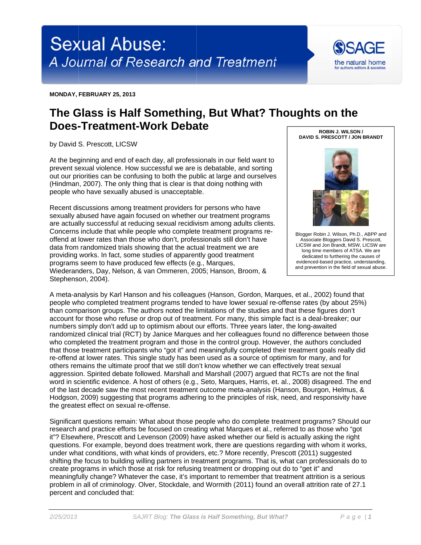

MONDAY, FEBRUARY 25, 2013

## The Glass is Half Something, But What? Thoughts on the **Does-Treatment-Work Debate** ROBIN J. WILSON /

by David S. Prescott, LICSW

At the beginning and end of each day, all professionals in our field want to prevent sexual violence. How successful we are is debatable, and sorting out our priorities can be confusing to both the public at large and ourselves (Hindman, 2007). The only thing that is clear is that doing nothing with people who have sexually abused is unacceptable.

Recent discussions among treatment providers for persons who have sexually abused have again focused on whether our treatment programs are actually successful at reducing sexual recidivism among adults clients. Concerns include that while people who complete treatment programs reoffend at lower rates than those who don't, professionals still don't have data from randomized trials showing that the actual treatment we are providing works. In fact, some studies of apparently good treatment programs seem to have produced few effects (e.g., Marques, Wiederanders, Day, Nelson, & van Ommeren, 2005; Hanson, Broom, & Stephenson, 2004).



Blogger Robin J. Wilson, Ph.D., ABPP and Associate Bloggers David S. Prescott, LICSW and Jon Brandt, MSW, LICSW are long time members of ATSA. We are dedicated to furthering the causes of evidenced-based practice, understanding, and prevention in the field of sexual abuse.

A meta-analysis by Karl Hanson and his colleagues (Hanson, Gordon, Marques, et al., 2002) found that people who completed treatment programs tended to have lower sexual re-offense rates (by about 25%) than comparison groups. The authors noted the limitations of the studies and that these figures don't account for those who refuse or drop out of treatment. For many, this simple fact is a deal-breaker; our numbers simply don't add up to optimism about our efforts. Three years later, the long-awaited randomized clinical trial (RCT) by Janice Marques and her colleagues found no difference between those who completed the treatment program and those in the control group. However, the authors concluded that those treatment participants who "got it" and meaningfully completed their treatment goals really did re-offend at lower rates. This single study has been used as a source of optimism for many, and for others remains the ultimate proof that we still don't know whether we can effectively treat sexual aggression. Spirited debate followed. Marshall and Marshall (2007) argued that RCTs are not the final word in scientific evidence. A host of others (e.g., Seto, Marques, Harris, et. al., 2008) disagreed. The end of the last decade saw the most recent treatment outcome meta-analysis (Hanson, Bourgon, Helmus, & Hodgson, 2009) suggesting that programs adhering to the principles of risk, need, and responsivity have the greatest effect on sexual re-offense.

Significant questions remain: What about those people who do complete treatment programs? Should our research and practice efforts be focused on creating what Margues et al., referred to as those who "got it"? Elsewhere, Prescott and Levenson (2009) have asked whether our field is actually asking the right questions. For example, bevond does treatment work, there are questions regarding with whom it works. under what conditions, with what kinds of providers, etc.? More recently, Prescott (2011) suggested shifting the focus to building willing partners in treatment programs. That is, what can professionals do to create programs in which those at risk for refusing treatment or dropping out do to "get it" and meaningfully change? Whatever the case, it's important to remember that treatment attrition is a serious problem in all of criminology. Olver, Stockdale, and Wormith (2011) found an overall attrition rate of 27.1 percent and concluded that: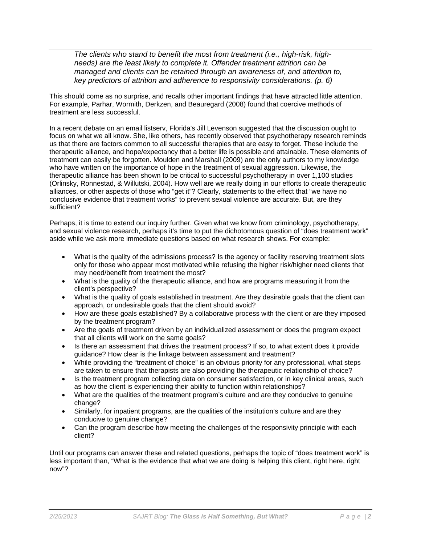*The clients who stand to benefit the most from treatment (i.e., high-risk, highneeds) are the least likely to complete it. Offender treatment attrition can be managed and clients can be retained through an awareness of, and attention to, key predictors of attrition and adherence to responsivity considerations. (p. 6)*

This should come as no surprise, and recalls other important findings that have attracted little attention. For example, Parhar, Wormith, Derkzen, and Beauregard (2008) found that coercive methods of treatment are less successful.

In a recent debate on an email listserv, Florida's Jill Levenson suggested that the discussion ought to focus on what we all know. She, like others, has recently observed that psychotherapy research reminds us that there are factors common to all successful therapies that are easy to forget. These include the therapeutic alliance, and hope/expectancy that a better life is possible and attainable. These elements of treatment can easily be forgotten. Moulden and Marshall (2009) are the only authors to my knowledge who have written on the importance of hope in the treatment of sexual aggression. Likewise, the therapeutic alliance has been shown to be critical to successful psychotherapy in over 1,100 studies (Orlinsky, Ronnestad, & Willutski, 2004). How well are we really doing in our efforts to create therapeutic alliances, or other aspects of those who "get it"? Clearly, statements to the effect that "we have no conclusive evidence that treatment works" to prevent sexual violence are accurate. But, are they sufficient?

Perhaps, it is time to extend our inquiry further. Given what we know from criminology, psychotherapy, and sexual violence research, perhaps it's time to put the dichotomous question of "does treatment work" aside while we ask more immediate questions based on what research shows. For example:

- What is the quality of the admissions process? Is the agency or facility reserving treatment slots only for those who appear most motivated while refusing the higher risk/higher need clients that may need/benefit from treatment the most?
- What is the quality of the therapeutic alliance, and how are programs measuring it from the client's perspective?
- What is the quality of goals established in treatment. Are they desirable goals that the client can approach, or undesirable goals that the client should avoid?
- How are these goals established? By a collaborative process with the client or are they imposed by the treatment program?
- Are the goals of treatment driven by an individualized assessment or does the program expect that all clients will work on the same goals?
- Is there an assessment that drives the treatment process? If so, to what extent does it provide guidance? How clear is the linkage between assessment and treatment?
- While providing the "treatment of choice" is an obvious priority for any professional, what steps are taken to ensure that therapists are also providing the therapeutic relationship of choice?
- Is the treatment program collecting data on consumer satisfaction, or in key clinical areas, such as how the client is experiencing their ability to function within relationships?
- What are the qualities of the treatment program's culture and are they conducive to genuine change?
- Similarly, for inpatient programs, are the qualities of the institution's culture and are they conducive to genuine change?
- Can the program describe how meeting the challenges of the responsivity principle with each client?

Until our programs can answer these and related questions, perhaps the topic of "does treatment work" is less important than, "What is the evidence that what we are doing is helping this client, right here, right now"?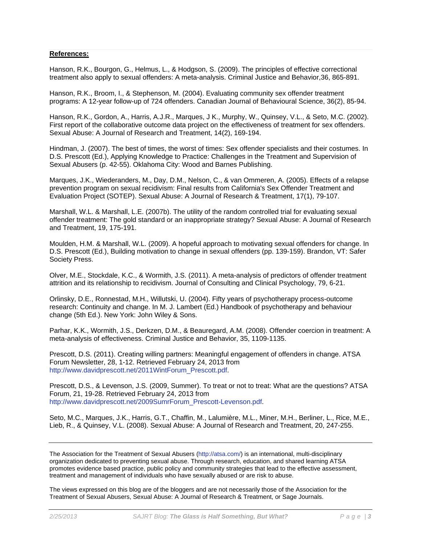## **References:**

Hanson, R.K., Bourgon, G., Helmus, L., & Hodgson, S. (2009). The principles of effective correctional treatment also apply to sexual offenders: A meta-analysis. Criminal Justice and Behavior,36, 865-891.

Hanson, R.K., Broom, I., & Stephenson, M. (2004). Evaluating community sex offender treatment programs: A 12-year follow-up of 724 offenders. Canadian Journal of Behavioural Science, 36(2), 85-94.

Hanson, R.K., Gordon, A., Harris, A.J.R., Marques, J K., Murphy, W., Quinsey, V.L., & Seto, M.C. (2002). First report of the collaborative outcome data project on the effectiveness of treatment for sex offenders. Sexual Abuse: A Journal of Research and Treatment, 14(2), 169-194.

Hindman, J. (2007). The best of times, the worst of times: Sex offender specialists and their costumes. In D.S. Prescott (Ed.), Applying Knowledge to Practice: Challenges in the Treatment and Supervision of Sexual Abusers (p. 42-55). Oklahoma City: Wood and Barnes Publishing.

Marques, J.K., Wiederanders, M., Day, D.M., Nelson, C., & van Ommeren, A. (2005). Effects of a relapse prevention program on sexual recidivism: Final results from California's Sex Offender Treatment and Evaluation Project (SOTEP). Sexual Abuse: A Journal of Research & Treatment, 17(1), 79-107.

Marshall, W.L. & Marshall, L.E. (2007b). The utility of the random controlled trial for evaluating sexual offender treatment: The gold standard or an inappropriate strategy? Sexual Abuse: A Journal of Research and Treatment, 19, 175-191.

Moulden, H.M. & Marshall, W.L. (2009). A hopeful approach to motivating sexual offenders for change. In D.S. Prescott (Ed.), Building motivation to change in sexual offenders (pp. 139-159). Brandon, VT: Safer Society Press.

Olver, M.E., Stockdale, K.C., & Wormith, J.S. (2011). A meta-analysis of predictors of offender treatment attrition and its relationship to recidivism. Journal of Consulting and Clinical Psychology, 79, 6-21.

Orlinsky, D.E., Ronnestad, M.H., Willutski, U. (2004). Fifty years of psychotherapy process-outcome research: Continuity and change. In M. J. Lambert (Ed.) Handbook of psychotherapy and behaviour change (5th Ed.). New York: John Wiley & Sons.

Parhar, K.K., Wormith, J.S., Derkzen, D.M., & Beauregard, A.M. (2008). Offender coercion in treatment: A meta-analysis of effectiveness. Criminal Justice and Behavior, 35, 1109-1135.

Prescott, D.S. (2011). Creating willing partners: Meaningful engagement of offenders in change. ATSA Forum Newsletter, 28, 1-12. Retrieved February 24, 2013 from http://www.davidprescott.net/2011WintForum\_Prescott.pdf.

Prescott, D.S., & Levenson, J.S. (2009, Summer). To treat or not to treat: What are the questions? ATSA Forum, 21, 19-28. Retrieved February 24, 2013 from http://www.davidprescott.net/2009SumrForum\_Prescott-Levenson.pdf.

Seto, M.C., Marques, J.K., Harris, G.T., Chaffin, M., Lalumière, M.L., Miner, M.H., Berliner, L., Rice, M.E., Lieb, R., & Quinsey, V.L. (2008). Sexual Abuse: A Journal of Research and Treatment, 20, 247-255.

The Association for the Treatment of Sexual Abusers (http://atsa.com/) is an international, multi-disciplinary organization dedicated to preventing sexual abuse. Through research, education, and shared learning ATSA promotes evidence based practice, public policy and community strategies that lead to the effective assessment, treatment and management of individuals who have sexually abused or are risk to abuse.

The views expressed on this blog are of the bloggers and are not necessarily those of the Association for the Treatment of Sexual Abusers, Sexual Abuse: A Journal of Research & Treatment, or Sage Journals.